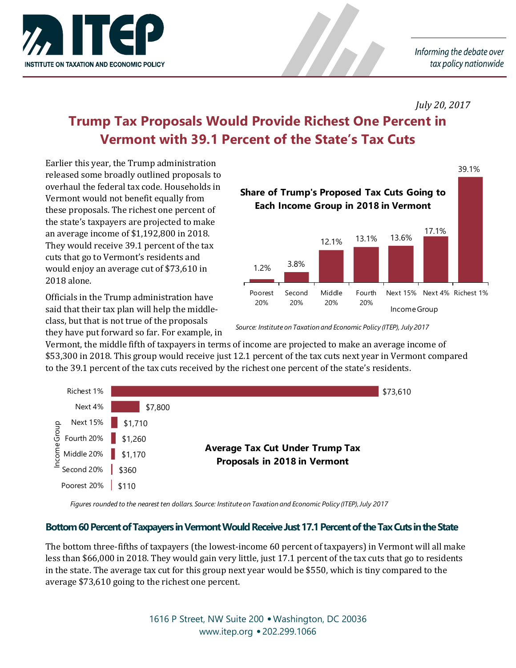

#### *July 20, 2017*

# **Trump Tax Proposals Would Provide Richest One Percent in Vermont with 39.1 Percent of the State's Tax Cuts**

Earlier this year, the Trump administration released some broadly outlined proposals to overhaul the federal tax code. Households in Vermont would not benefit equally from these proposals. The richest one percent of the state's taxpayers are projected to make an average income of \$1,192,800 in 2018. They would receive 39.1 percent of the tax cuts that go to Vermont's residents and would enjoy an average cut of \$73,610 in 2018 alone.

Officials in the Trump administration have said that their tax plan will help the middleclass, but that is not true of the proposals they have put forward so far. For example, in



*Source: Institute on Taxation and Economic Policy (ITEP), July 2017*

Vermont, the middle fifth of taxpayers in terms of income are projected to make an average income of \$53,300 in 2018. This group would receive just 12.1 percent of the tax cuts next year in Vermont compared to the 39.1 percent of the tax cuts received by the richest one percent of the state's residents.

| Richest 1%                                                         |         |                                                                        | \$73,610 |
|--------------------------------------------------------------------|---------|------------------------------------------------------------------------|----------|
| Next 4%                                                            | \$7,800 |                                                                        |          |
| Next 15%                                                           | \$1,710 |                                                                        |          |
| $\frac{9}{5}$ Next 15% \$1,710<br>$\frac{1}{5}$ Fourth 20% \$1,260 |         | <b>Average Tax Cut Under Trump Tax</b><br>Proposals in 2018 in Vermont |          |
| $\frac{2}{5}$ Middle 20% \$1,170<br>$\frac{2}{5}$ Second 20% \$360 |         |                                                                        |          |
|                                                                    |         |                                                                        |          |
| Poorest 20%                                                        | \$110   |                                                                        |          |

*Figures rounded to the nearest ten dollars. Source: Institute on Taxation and Economic Policy (ITEP), July 2017*

# **Bottom 60 Percent of Taxpayers in VermontWould Receive Just 17.1Percent of the Tax Cuts in the State**

The bottom three-fifths of taxpayers (the lowest-income 60 percent of taxpayers) in Vermont will all make less than \$66,000 in 2018. They would gain very little, just 17.1 percent of the tax cuts that go to residents in the state. The average tax cut for this group next year would be \$550, which is tiny compared to the average \$73,610 going to the richest one percent.